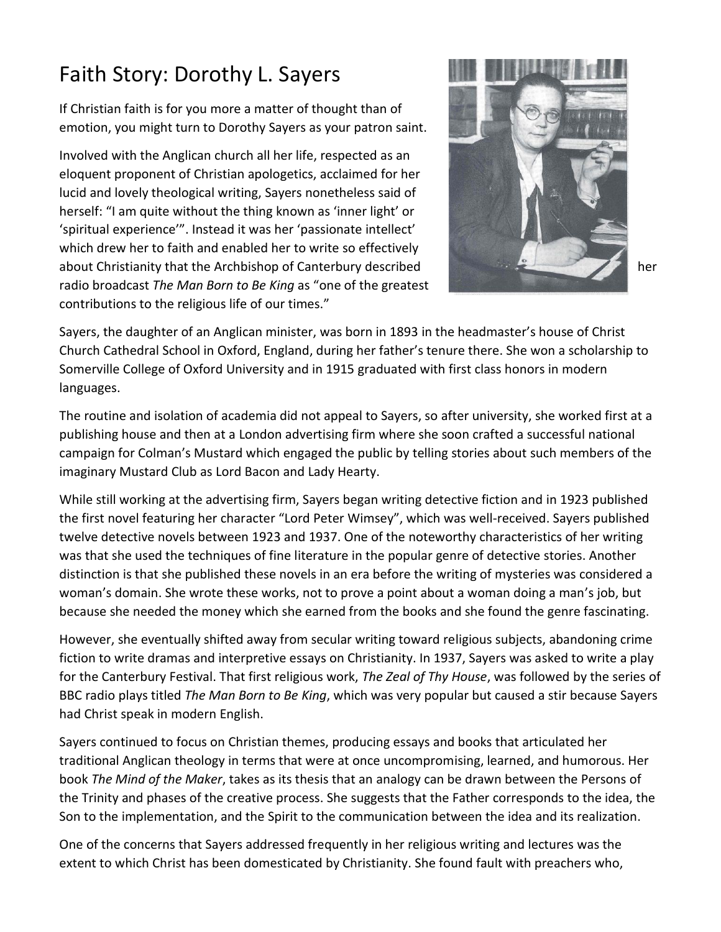## Faith Story: Dorothy L. Sayers

If Christian faith is for you more a matter of thought than of emotion, you might turn to Dorothy Sayers as your patron saint.

Involved with the Anglican church all her life, respected as an eloquent proponent of Christian apologetics, acclaimed for her lucid and lovely theological writing, Sayers nonetheless said of herself: "I am quite without the thing known as 'inner light' or 'spiritual experience'". Instead it was her 'passionate intellect' which drew her to faith and enabled her to write so effectively about Christianity that the Archbishop of Canterbury described her radio broadcast *The Man Born to Be King* as "one of the greatest contributions to the religious life of our times."



Sayers, the daughter of an Anglican minister, was born in 1893 in the headmaster's house of Christ Church Cathedral School in Oxford, England, during her father's tenure there. She won a scholarship to Somerville College of Oxford University and in 1915 graduated with first class honors in modern languages.

The routine and isolation of academia did not appeal to Sayers, so after university, she worked first at a publishing house and then at a London advertising firm where she soon crafted a successful national campaign for Colman's Mustard which engaged the public by telling stories about such members of the imaginary Mustard Club as Lord Bacon and Lady Hearty.

While still working at the advertising firm, Sayers began writing detective fiction and in 1923 published the first novel featuring her character "Lord Peter Wimsey", which was well-received. Sayers published twelve detective novels between 1923 and 1937. One of the noteworthy characteristics of her writing was that she used the techniques of fine literature in the popular genre of detective stories. Another distinction is that she published these novels in an era before the writing of mysteries was considered a woman's domain. She wrote these works, not to prove a point about a woman doing a man's job, but because she needed the money which she earned from the books and she found the genre fascinating.

However, she eventually shifted away from secular writing toward religious subjects, abandoning crime fiction to write dramas and interpretive essays on Christianity. In 1937, Sayers was asked to write a play for the Canterbury Festival. That first religious work, *The Zeal of Thy House*, was followed by the series of BBC radio plays titled *The Man Born to Be King*, which was very popular but caused a stir because Sayers had Christ speak in modern English.

Sayers continued to focus on Christian themes, producing essays and books that articulated her traditional Anglican theology in terms that were at once uncompromising, learned, and humorous. Her book *The Mind of the Maker*, takes as its thesis that an analogy can be drawn between the Persons of the Trinity and phases of the creative process. She suggests that the Father corresponds to the idea, the Son to the implementation, and the Spirit to the communication between the idea and its realization.

One of the concerns that Sayers addressed frequently in her religious writing and lectures was the extent to which Christ has been domesticated by Christianity. She found fault with preachers who,